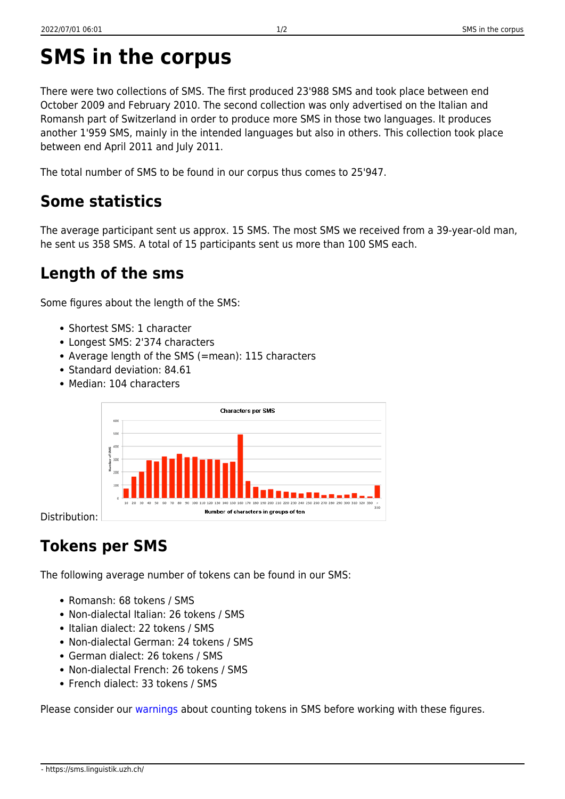There were two collections of SMS. The first produced 23'988 SMS and took place between end October 2009 and February 2010. The second collection was only advertised on the Italian and Romansh part of Switzerland in order to produce more SMS in those two languages. It produces another 1'959 SMS, mainly in the intended languages but also in others. This collection took place between end April 2011 and July 2011.

The total number of SMS to be found in our corpus thus comes to 25'947.

## **Some statistics**

The average participant sent us approx. 15 SMS. The most SMS we received from a 39-year-old man, he sent us 358 SMS. A total of 15 participants sent us more than 100 SMS each.

## **Length of the sms**

Some figures about the length of the SMS:

- Shortest SMS: 1 character
- Longest SMS: 2'374 characters
- Average length of the SMS (=mean): 115 characters
- Standard deviation: 84.61
- Median: 104 characters



Distribution:

## **Tokens per SMS**

The following average number of tokens can be found in our SMS:

- Romansh: 68 tokens / SMS
- Non-dialectal Italian: 26 tokens / SMS
- Italian dialect: 22 tokens / SMS
- Non-dialectal German: 24 tokens / SMS
- German dialect: 26 tokens / SMS
- Non-dialectal French: 26 tokens / SMS
- French dialect: 33 tokens / SMS

Please consider our [warnings](https://sms.linguistik.uzh.ch/05_facts_and_figures) about counting tokens in SMS before working with these figures.